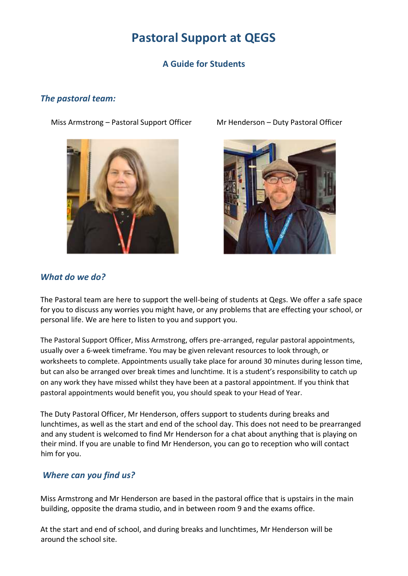# **Pastoral Support at QEGS**

# **A Guide for Students**

#### *The pastoral team:*

Miss Armstrong – Pastoral Support Officer Mr Henderson – Duty Pastoral Officer





#### *What do we do?*

The Pastoral team are here to support the well-being of students at Qegs. We offer a safe space for you to discuss any worries you might have, or any problems that are effecting your school, or personal life. We are here to listen to you and support you.

The Pastoral Support Officer, Miss Armstrong, offers pre-arranged, regular pastoral appointments, usually over a 6-week timeframe. You may be given relevant resources to look through, or worksheets to complete. Appointments usually take place for around 30 minutes during lesson time, but can also be arranged over break times and lunchtime. It is a student's responsibility to catch up on any work they have missed whilst they have been at a pastoral appointment. If you think that pastoral appointments would benefit you, you should speak to your Head of Year.

The Duty Pastoral Officer, Mr Henderson, offers support to students during breaks and lunchtimes, as well as the start and end of the school day. This does not need to be prearranged and any student is welcomed to find Mr Henderson for a chat about anything that is playing on their mind. If you are unable to find Mr Henderson, you can go to reception who will contact him for you.

# *Where can you find us?*

Miss Armstrong and Mr Henderson are based in the pastoral office that is upstairs in the main building, opposite the drama studio, and in between room 9 and the exams office.

At the start and end of school, and during breaks and lunchtimes, Mr Henderson will be around the school site.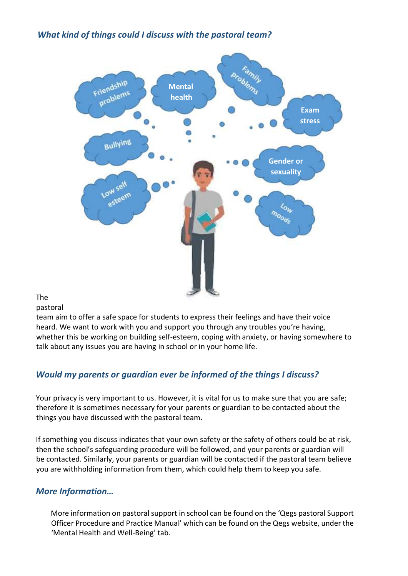*What kind of things could I discuss with the pastoral team?*



The

pastoral

team aim to offer a safe space for students to express their feelings and have their voice heard. We want to work with you and support you through any troubles you're having, whether this be working on building self-esteem, coping with anxiety, or having somewhere to talk about any issues you are having in school or in your home life.

# *Would my parents or guardian ever be informed of the things I discuss?*

Your privacy is very important to us. However, it is vital for us to make sure that you are safe; therefore it is sometimes necessary for your parents or guardian to be contacted about the things you have discussed with the pastoral team.

If something you discuss indicates that your own safety or the safety of others could be at risk, then the school's safeguarding procedure will be followed, and your parents or guardian will be contacted. Similarly, your parents or guardian will be contacted if the pastoral team believe you are withholding information from them, which could help them to keep you safe.

#### *More Information…*

More information on pastoral support in school can be found on the 'Qegs pastoral Support Officer Procedure and Practice Manual' which can be found on the Qegs website, under the 'Mental Health and Well-Being' tab.